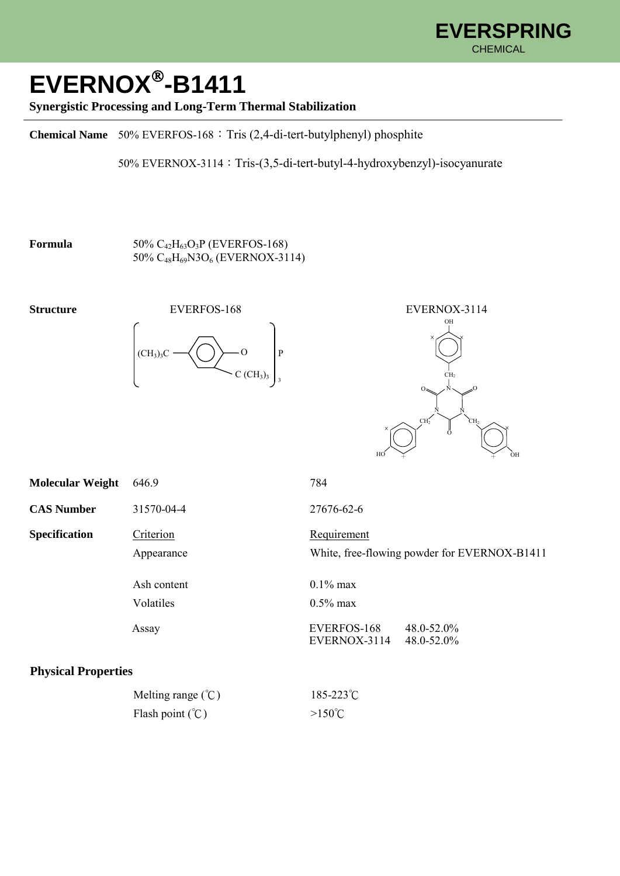

## **EVERNOX -B1411**

## **Synergistic Processing and Long-Term Thermal Stabilization**

**Chemical Name** 50% EVERFOS-168:Tris (2,4-di-tert-butylphenyl) phosphite

50% EVERNOX-3114:Tris-(3,5-di-tert-butyl-4-hydroxybenzyl)-isocyanurate

## **Formula** 50%  $C_{42}H_{63}O_3P$  (EVERFOS-168) 50% C48H69N3O<sup>6</sup> (EVERNOX-3114)







| <b>Molecular Weight</b>        | 646.9       | 784                                                          |  |  |
|--------------------------------|-------------|--------------------------------------------------------------|--|--|
| <b>CAS Number</b>              | 31570-04-4  | 27676-62-6                                                   |  |  |
| <b>Specification</b>           | Criterion   | Requirement                                                  |  |  |
|                                | Appearance  | White, free-flowing powder for EVERNOX-B1411                 |  |  |
|                                | Ash content | $0.1\%$ max                                                  |  |  |
|                                | Volatiles   | $0.5\%$ max                                                  |  |  |
|                                | Assay       | EVERFOS-168<br>48.0-52.0%<br>EVERNOX-3114<br>$48.0 - 52.0\%$ |  |  |
| $\sim$<br>$\sim$ $\sim$ $\sim$ |             |                                                              |  |  |

## **Physical Properties**

| Melting range $(\degree C)$ | $185 - 223^{\circ}C$ |
|-----------------------------|----------------------|
| Flash point $(\mathcal{C})$ | $>150^{\circ}$ C     |